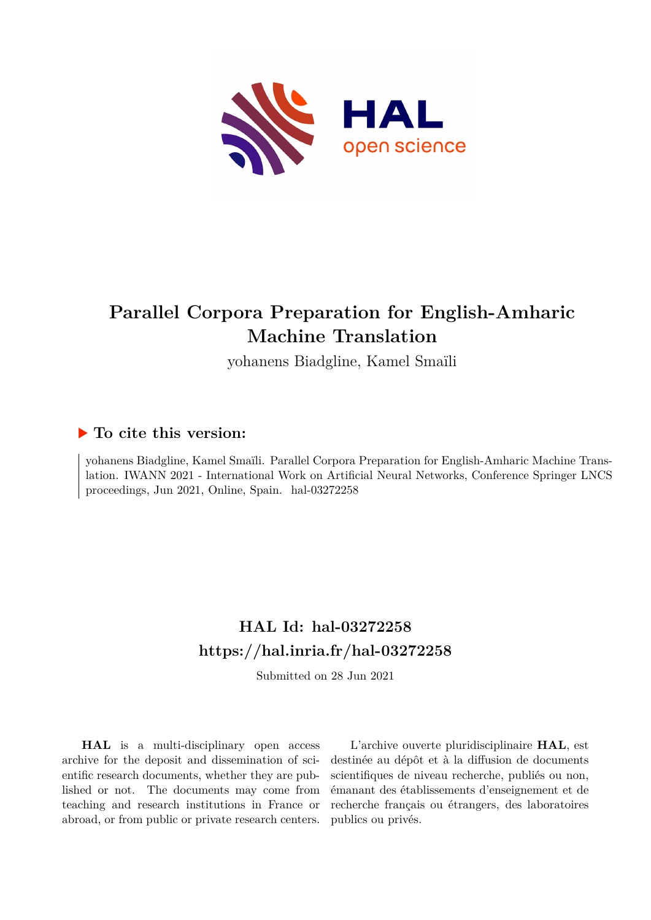

# **Parallel Corpora Preparation for English-Amharic Machine Translation**

yohanens Biadgline, Kamel Smaïli

## **To cite this version:**

yohanens Biadgline, Kamel Smaïli. Parallel Corpora Preparation for English-Amharic Machine Translation. IWANN 2021 - International Work on Artificial Neural Networks, Conference Springer LNCS proceedings, Jun 2021, Online, Spain. hal-03272258

# **HAL Id: hal-03272258 <https://hal.inria.fr/hal-03272258>**

Submitted on 28 Jun 2021

**HAL** is a multi-disciplinary open access archive for the deposit and dissemination of scientific research documents, whether they are published or not. The documents may come from teaching and research institutions in France or abroad, or from public or private research centers.

L'archive ouverte pluridisciplinaire **HAL**, est destinée au dépôt et à la diffusion de documents scientifiques de niveau recherche, publiés ou non, émanant des établissements d'enseignement et de recherche français ou étrangers, des laboratoires publics ou privés.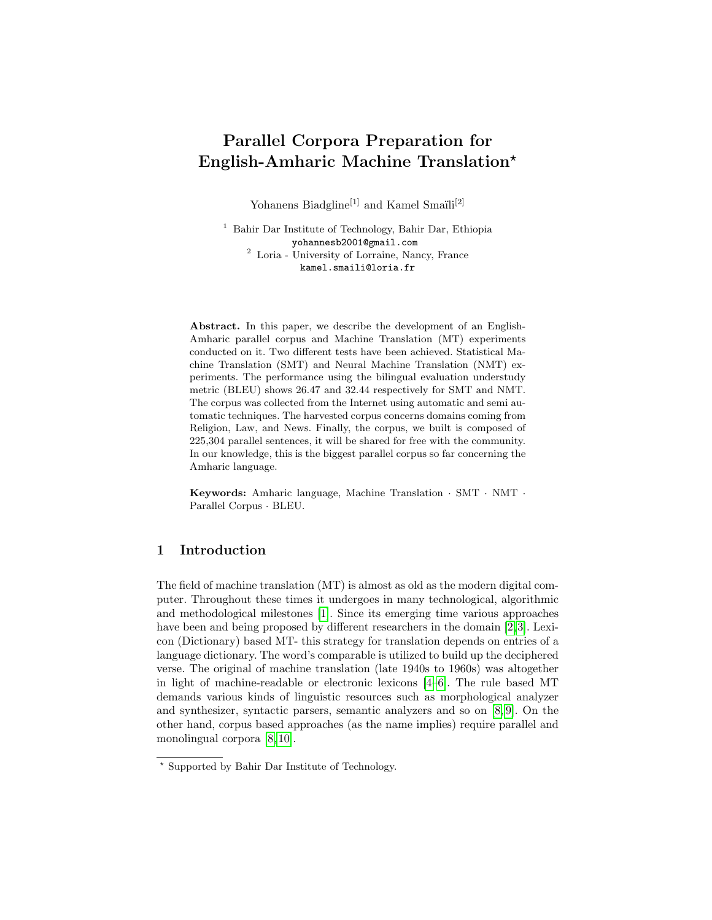## Parallel Corpora Preparation for English-Amharic Machine Translation?

Yohanens Biadgline<sup>[1]</sup> and Kamel Smail $i^{[2]}$ 

<sup>1</sup> Bahir Dar Institute of Technology, Bahir Dar, Ethiopia yohannesb2001@gmail.com <sup>2</sup> Loria - University of Lorraine, Nancy, France kamel.smaili@loria.fr

Abstract. In this paper, we describe the development of an English-Amharic parallel corpus and Machine Translation (MT) experiments conducted on it. Two different tests have been achieved. Statistical Machine Translation (SMT) and Neural Machine Translation (NMT) experiments. The performance using the bilingual evaluation understudy metric (BLEU) shows 26.47 and 32.44 respectively for SMT and NMT. The corpus was collected from the Internet using automatic and semi automatic techniques. The harvested corpus concerns domains coming from Religion, Law, and News. Finally, the corpus, we built is composed of 225,304 parallel sentences, it will be shared for free with the community. In our knowledge, this is the biggest parallel corpus so far concerning the Amharic language.

Keywords: Amharic language, Machine Translation · SMT · NMT · Parallel Corpus · BLEU.

## 1 Introduction

The field of machine translation (MT) is almost as old as the modern digital computer. Throughout these times it undergoes in many technological, algorithmic and methodological milestones [1]. Since its emerging time various approaches have been and being proposed by different researchers in the domain [2,3]. Lexicon (Dictionary) based MT- this strategy for translation depends on entries of a language dictionary. The word's comparable is utilized to build up the deciphered verse. The original of machine translation (late 1940s to 1960s) was altogether in light of machine-readable or electronic lexicons [4–6]. The rule based MT demands various kinds of linguistic resources such as morphological analyzer and synthesizer, syntactic parsers, semantic analyzers and so on [8, 9]. On the other hand, corpus based approaches (as the name implies) require parallel and monolingual corpora [8, 10].

<sup>?</sup> Supported by Bahir Dar Institute of Technology.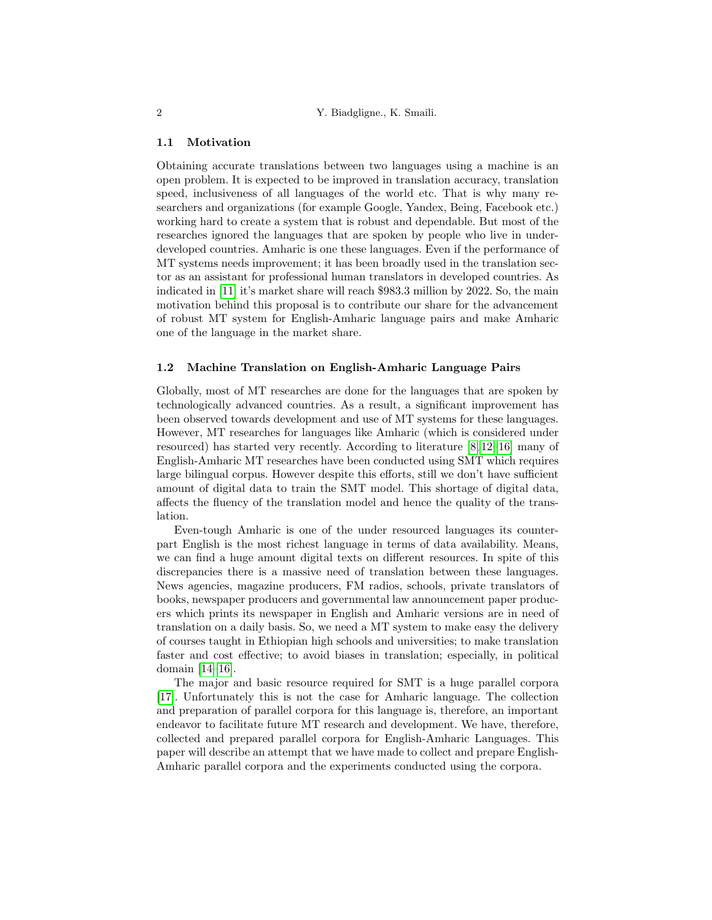### 1.1 Motivation

Obtaining accurate translations between two languages using a machine is an open problem. It is expected to be improved in translation accuracy, translation speed, inclusiveness of all languages of the world etc. That is why many researchers and organizations (for example Google, Yandex, Being, Facebook etc.) working hard to create a system that is robust and dependable. But most of the researches ignored the languages that are spoken by people who live in underdeveloped countries. Amharic is one these languages. Even if the performance of MT systems needs improvement; it has been broadly used in the translation sector as an assistant for professional human translators in developed countries. As indicated in [11] it's market share will reach \$983.3 million by 2022. So, the main motivation behind this proposal is to contribute our share for the advancement of robust MT system for English-Amharic language pairs and make Amharic one of the language in the market share.

#### 1.2 Machine Translation on English-Amharic Language Pairs

Globally, most of MT researches are done for the languages that are spoken by technologically advanced countries. As a result, a significant improvement has been observed towards development and use of MT systems for these languages. However, MT researches for languages like Amharic (which is considered under resourced) has started very recently. According to literature [8, 12–16] many of English-Amharic MT researches have been conducted using SMT which requires large bilingual corpus. However despite this efforts, still we don't have sufficient amount of digital data to train the SMT model. This shortage of digital data, affects the fluency of the translation model and hence the quality of the translation.

Even-tough Amharic is one of the under resourced languages its counterpart English is the most richest language in terms of data availability. Means, we can find a huge amount digital texts on different resources. In spite of this discrepancies there is a massive need of translation between these languages. News agencies, magazine producers, FM radios, schools, private translators of books, newspaper producers and governmental law announcement paper producers which prints its newspaper in English and Amharic versions are in need of translation on a daily basis. So, we need a MT system to make easy the delivery of courses taught in Ethiopian high schools and universities; to make translation faster and cost effective; to avoid biases in translation; especially, in political domain [14–16].

The major and basic resource required for SMT is a huge parallel corpora [17]. Unfortunately this is not the case for Amharic language. The collection and preparation of parallel corpora for this language is, therefore, an important endeavor to facilitate future MT research and development. We have, therefore, collected and prepared parallel corpora for English-Amharic Languages. This paper will describe an attempt that we have made to collect and prepare English-Amharic parallel corpora and the experiments conducted using the corpora.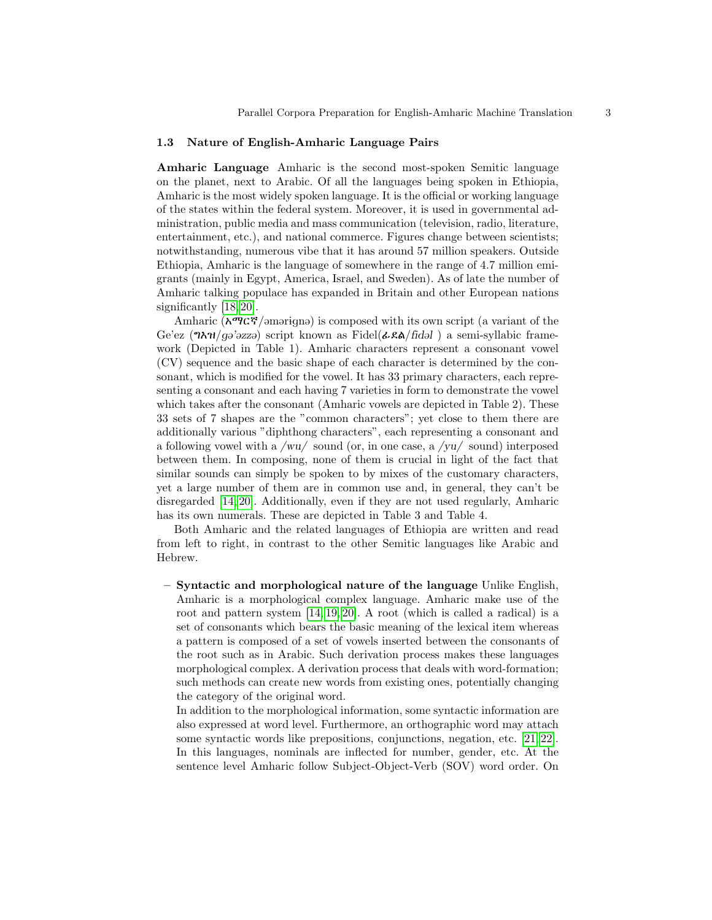#### 1.3 Nature of English-Amharic Language Pairs

Amharic Language Amharic is the second most-spoken Semitic language on the planet, next to Arabic. Of all the languages being spoken in Ethiopia, Amharic is the most widely spoken language. It is the official or working language of the states within the federal system. Moreover, it is used in governmental administration, public media and mass communication (television, radio, literature, entertainment, etc.), and national commerce. Figures change between scientists; notwithstanding, numerous vibe that it has around 57 million speakers. Outside Ethiopia, Amharic is the language of somewhere in the range of 4.7 million emigrants (mainly in Egypt, America, Israel, and Sweden). As of late the number of Amharic talking populace has expanded in Britain and other European nations significantly [18, 20].

Amharic ( $\mathbf{\hat{A}}^{\mathbf{\alpha}}$  $\mathbf{\hat{C}}^{\mathbf{\dot{C}}}$ ) arriginal is composed with its own script (a variant of the Ge'ez ( $\eta \lambda \eta / g \partial \psi$ ) script known as Fidel( $\lambda \xi \lambda / f \eta d \partial l$ ) a semi-syllabic framework (Depicted in Table 1). Amharic characters represent a consonant vowel (CV) sequence and the basic shape of each character is determined by the consonant, which is modified for the vowel. It has 33 primary characters, each representing a consonant and each having 7 varieties in form to demonstrate the vowel which takes after the consonant (Amharic vowels are depicted in Table 2). These 33 sets of 7 shapes are the "common characters"; yet close to them there are additionally various "diphthong characters", each representing a consonant and a following vowel with a /wu/ sound (or, in one case, a /yu/ sound) interposed between them. In composing, none of them is crucial in light of the fact that similar sounds can simply be spoken to by mixes of the customary characters, yet a large number of them are in common use and, in general, they can't be disregarded [14, 20]. Additionally, even if they are not used regularly, Amharic has its own numerals. These are depicted in Table 3 and Table 4.

Both Amharic and the related languages of Ethiopia are written and read from left to right, in contrast to the other Semitic languages like Arabic and Hebrew.

– Syntactic and morphological nature of the language Unlike English, Amharic is a morphological complex language. Amharic make use of the root and pattern system [14, 19, 20]. A root (which is called a radical) is a set of consonants which bears the basic meaning of the lexical item whereas a pattern is composed of a set of vowels inserted between the consonants of the root such as in Arabic. Such derivation process makes these languages morphological complex. A derivation process that deals with word-formation; such methods can create new words from existing ones, potentially changing the category of the original word.

In addition to the morphological information, some syntactic information are also expressed at word level. Furthermore, an orthographic word may attach some syntactic words like prepositions, conjunctions, negation, etc. [21, 22]. In this languages, nominals are inflected for number, gender, etc. At the sentence level Amharic follow Subject-Object-Verb (SOV) word order. On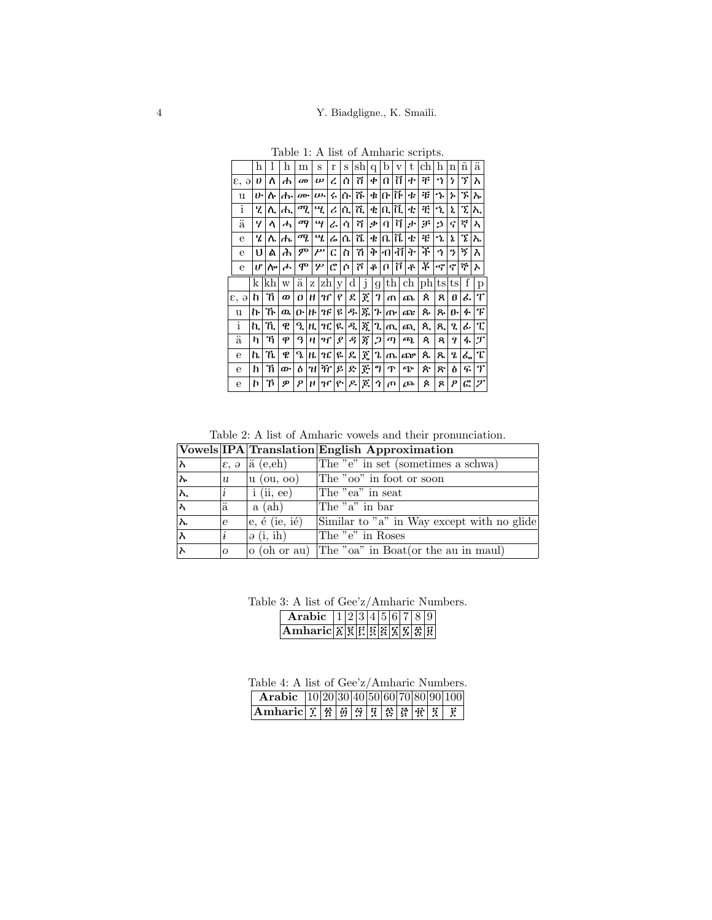|                                 | h  |     | h  | m                | S                     |    | r                 | S       | sh             | q              | b                   | v          | t. | сh        | h               | n          | $\tilde{\rm n}$ | ä             |
|---------------------------------|----|-----|----|------------------|-----------------------|----|-------------------|---------|----------------|----------------|---------------------|------------|----|-----------|-----------------|------------|-----------------|---------------|
| ε,<br>$\Theta$                  | I) | ለ   | ₼  | $\boldsymbol{a}$ | $\boldsymbol{\omega}$ |    | ረ                 | Ò       | ñ              | ቀ              | a                   | ñ          | ተ  | 干         | ኅ               | 5          | 7               | እ             |
| u                               | ゖ  | ሉ   | ሑ  | $QD^*$           | $\n  w$               |    | ሩ                 | ሱ       | ሹ              | ¢.             | $ n \tilde{n}$      |            | ቱ  | 弔         | ኍ               | ኡ          | 7.              | ኡ             |
| i                               | ı  | ሊ   | ₼  | ሚ                | Ч.                    |    | ሪ                 | ሲ       | ሺ              |                | ቂ $ \mathfrak{a} $  | π.         | ቲ  | æ         | ኂ               | ż.         | τ               | እ.            |
| $\overline{\ddot{\mathrm{a}}}$  | 4  | ላ   | ሓ  | ማ                | щ                     |    | ራ                 | ሳ       | ሻ              | ቃ              | $\Omega$            | ក          | ゕ  | ቻ         | B               | ና          | ኛ               | እ             |
| e                               | ч  | ሌ   | ₼  | ሚ                | щ                     |    | ሬ                 | ሴ       | ሼ              | ቄ              | n.                  | ħ          | ቴ  | 弔         | ኄ               | ኔ          | 7               | ኤ             |
| e                               | υ  | ል   | ሕ  | ም                | $\boldsymbol{\mu}$    |    | C.                | ስ       | 'n             | Þ              | $\vert \cdot \vert$ | -ñl        | ት  | ች         | ኅ               | 3          | ኝ               | λ             |
| e                               | ιľ | ሎ   | ሖ  | ሞ                | ሦ                     |    | C                 | Ò       | ሾ              | ቶ              | $\mathbf{0}$        | ក          | ቶ  | ች         | rÇ <sup>o</sup> | ኖ          | ኞ               | ኦ             |
|                                 |    |     |    |                  |                       |    |                   |         |                |                |                     |            |    |           |                 |            |                 |               |
|                                 | k  | kh  | W  | ä                | $\rm{Z}$              | zh | y                 | $\rm d$ | j              | g              |                     | $\th $     | ch | $ ph $ ts |                 | t s        | f               | p             |
|                                 | h  | 'n  | ወ  | o                | н                     | H  | p                 | ደ       | É              | 7              | ጠ                   |            | ጨ  | ጰ         | 8               | θ          | ፌ               | T             |
| u                               | h٠ | ኹ   | ዉ. | 0.               | H·                    | IЕ | g                 | ዱ       | ጁ              | <b>7.</b>      | ∣ ∕m∙l              |            | ጭ  | ጱ         | ጹ               | $\theta$ - | ፉ               | Ŧ             |
| $\mathbf{i}$                    | h. | 'n. | P. | L                | H.                    | НÇ | ዩ                 | ዳ       | $\overline{R}$ | ı              | ጢ                   |            | ጪ  | ጲ         | ጺ.              | L          | ፊ               | τ             |
| ä                               | h  | 'n  | ф  | ዓ                | н                     | મ  | $\mathcal{S}_{0}$ | .q      | ğ              | $\mathfrak{p}$ | ጣ                   |            | ጫ  | ጳ         | ጻ               | 9          | 4.              | $\mathcal{F}$ |
| е                               | h  | ኺ   | P  | ዔ                | $\mathbf{H}$          | чC | ዬ                 | ዴ       | $\vec{R}$      | Ղ              |                     | $\sqrt{n}$ | ሙ  | ጼ         | ጼ               | q          | ፌ               | τ             |
| $\varepsilon$ , $\partial$<br>е | ħ  | 'n  | ው  | Ò                | ๚                     | Ħ. | e                 | ድ       | ጅ              | ግ              | ጥ                   |            | ጭ  | ጵ         | ጽ               | À          | q.              | T             |

Table 1: A list of Amharic scripts.

Table 2: A list of Amharic vowels and their pronunciation.

|                      |                |                                     | Vowels IPA Translation English Approximation            |
|----------------------|----------------|-------------------------------------|---------------------------------------------------------|
| lአ                   |                | $ \varepsilon, \vartheta $ a (e,eh) | The "e" in set (sometimes a schwa)                      |
| ۱λ۰                  | $\mathbf{u}$   | $ u \rangle$ (ou, oo)               | The "oo" in foot or soon                                |
| $\overline{\lambda}$ |                | $i$ (ii, ee)                        | The "ea" in seat                                        |
| ⊼                    | ä              | a (ah)                              | The $"a"$ in bar                                        |
| $\overline{\lambda}$ | e              | $\vert$ e, é (ie, ié)               | Similar to "a" in Way except with no glide              |
| ∣እ                   |                | $\phi$ (i, ih)                      | The "e" in Roses                                        |
| ⊼                    | $\overline{O}$ |                                     | $\alpha$ (oh or au) The "oa" in Boat(or the au in maul) |

Table 3: A list of Gee'z/Amharic Numbers.

| <b>Arabic</b> $ 1 2 3 4 5 6 7 8 9$                                                                                                                                   |  |  |  |  |  |
|----------------------------------------------------------------------------------------------------------------------------------------------------------------------|--|--|--|--|--|
| $\boxed{\text{Ambaric} \, \mathbb{Z} \, \mathbb{E} \, \mathbb{E} \, \mathbb{E} \, \mathbb{E} \, \mathbb{E} \, \mathbb{E} \, \mathbb{E} \, \mathbb{E} \, \mathbb{E}}$ |  |  |  |  |  |

Table 4: A list of Gee'z/Amharic Numbers. Arabic  $|10|20|30|40|50|60|70|80|90|100$  $\boxed{\text{Ambaric} \mid \mathcal{I} \mid \mathcal{B} \mid \mathcal{G} \mid \mathcal{I} \mid \mathcal{B} \mid \mathcal{B} \mid \mathcal{B} \mid \mathcal{I} \mid \mathcal{I} \mid \mathcal{I}}$ 

| × |
|---|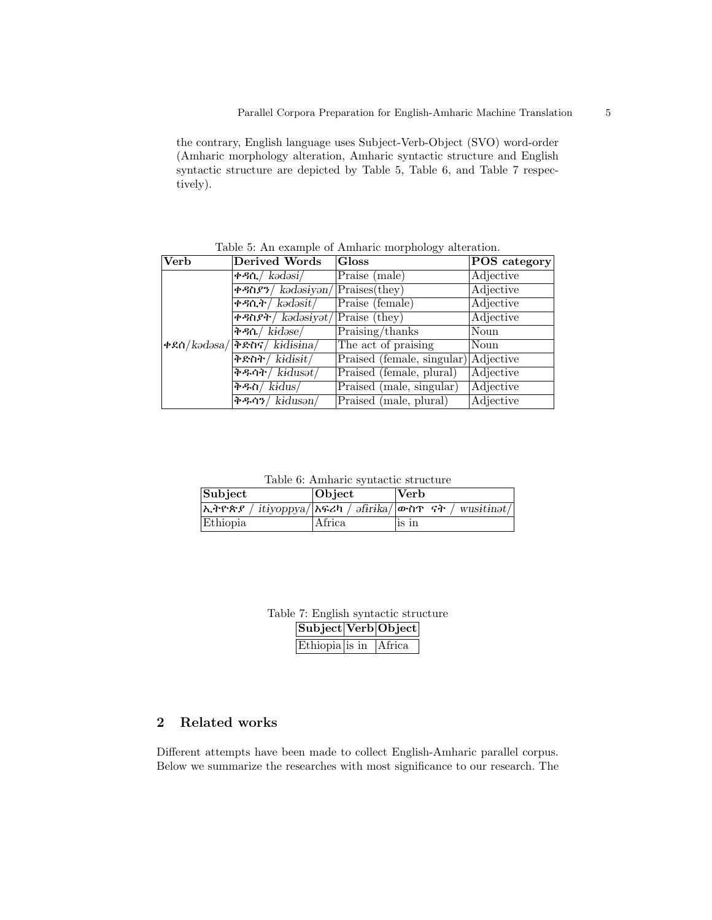the contrary, English language uses Subject-Verb-Object (SVO) word-order (Amharic morphology alteration, Amharic syntactic structure and English syntactic structure are depicted by Table 5, Table 6, and Table 7 respectively).

| Verb | Derived Words                                                                                                                                                                                                                                                                                                                                                                | <b>Gloss</b>                         | POS category |
|------|------------------------------------------------------------------------------------------------------------------------------------------------------------------------------------------------------------------------------------------------------------------------------------------------------------------------------------------------------------------------------|--------------------------------------|--------------|
|      | ቀዳሲ/ $k$ ədəsi/                                                                                                                                                                                                                                                                                                                                                              | Praise (male)                        | Adjective    |
|      | $\sqrt{P^2\left(\frac{P}{P}\right)^2 + P^2\left(\frac{P}{P}\right)^2}$                                                                                                                                                                                                                                                                                                       | $\sqrt{\text{Praises}(\text{they})}$ | Adjective    |
|      | ቀዳሲት / $\overline{k}$ ə $\overline{d}$ ə $\overline{s}$ it /                                                                                                                                                                                                                                                                                                                 | Praise (female)                      | Adjective    |
|      | $\sqrt{P^2 + 4\pi R^2 + 4\pi R^2}$ kədəsiyət/                                                                                                                                                                                                                                                                                                                                | <b>Praise</b> (they)                 | Adjective    |
|      | $\overline{R}$ + $\frac{1}{2}$ $\overline{R}$ $\overline{R}$ $\overline{R}$ $\overline{R}$ $\overline{R}$ $\overline{R}$ $\overline{R}$ $\overline{R}$ $\overline{R}$ $\overline{R}$ $\overline{R}$ $\overline{R}$ $\overline{R}$ $\overline{R}$ $\overline{R}$ $\overline{R}$ $\overline{R}$ $\overline{R}$ $\overline{R}$ $\overline{R}$ $\overline{R}$ $\overline{R}$ $\$ | Praising/thanks                      | Noun         |
|      | $\left  \frac{\partial \mathcal{L}}{\partial \phi} \right  = \frac{1}{2} \left  \frac{\partial \mathcal{L}}{\partial \phi} \right $ $\left  \frac{\partial \mathcal{L}}{\partial \phi} \right  = \frac{1}{2} \left  \frac{\partial \mathcal{L}}{\partial \phi} \right $                                                                                                      | The act of praising                  | Noun         |
|      | ቅድስት / kidisit /                                                                                                                                                                                                                                                                                                                                                             | Praised (female, singular) Adjective |              |
|      | ቅዱሳት / kidusət /                                                                                                                                                                                                                                                                                                                                                             | Praised (female, plural)             | Adjective    |
|      | ቅዱስ/ $kidus/$                                                                                                                                                                                                                                                                                                                                                                | Praised (male, singular)             | Adjective    |
|      | ቅዱሳን/ $k$ idusən/                                                                                                                                                                                                                                                                                                                                                            | Praised (male, plural)               | Adjective    |

Table 5: An example of Amharic morphology alteration.

Table 6: Amharic syntactic structure

| Subject  | <b>Object</b> | $ {\rm Verb} \>$                                                                 |
|----------|---------------|----------------------------------------------------------------------------------|
|          |               | $\lambda$ ትዮጵያ / itiyoppya/ $\lambda$ ፍሪካ / əfirika/ $\alpha$ ሰጥ ናት / wusitinət/ |
| Ethiopia | Africa        | is in                                                                            |

Table 7: English syntactic structure Subject Verb Object

| Ethiopia is in Africa |  |
|-----------------------|--|

## 2 Related works

Different attempts have been made to collect English-Amharic parallel corpus. Below we summarize the researches with most significance to our research. The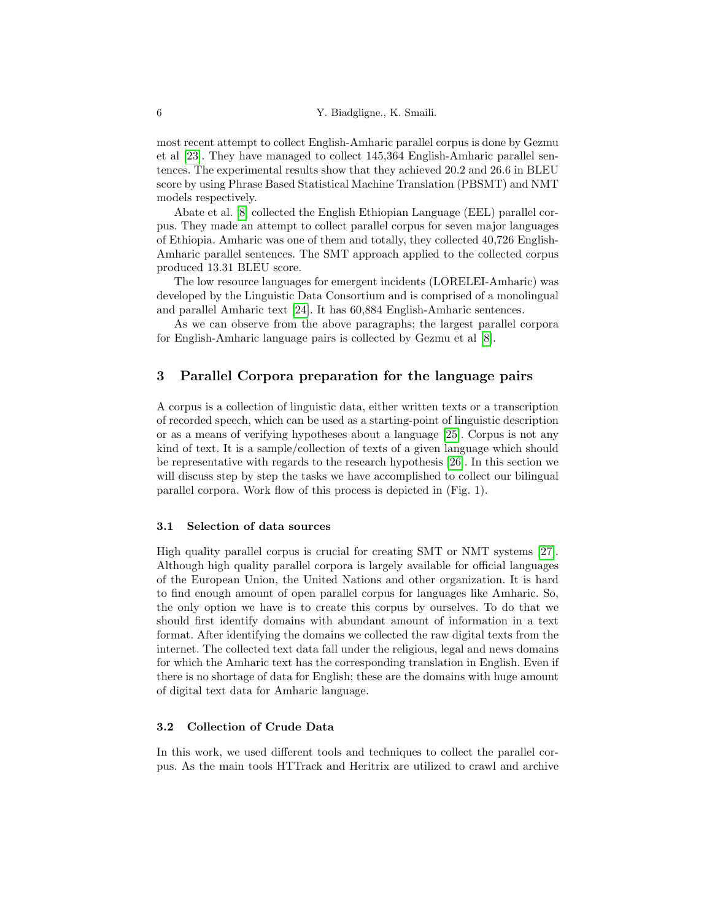most recent attempt to collect English-Amharic parallel corpus is done by Gezmu et al [23]. They have managed to collect 145,364 English-Amharic parallel sentences. The experimental results show that they achieved 20.2 and 26.6 in BLEU score by using Phrase Based Statistical Machine Translation (PBSMT) and NMT models respectively.

Abate et al. [8] collected the English Ethiopian Language (EEL) parallel corpus. They made an attempt to collect parallel corpus for seven major languages of Ethiopia. Amharic was one of them and totally, they collected 40,726 English-Amharic parallel sentences. The SMT approach applied to the collected corpus produced 13.31 BLEU score.

The low resource languages for emergent incidents (LORELEI-Amharic) was developed by the Linguistic Data Consortium and is comprised of a monolingual and parallel Amharic text [24]. It has 60,884 English-Amharic sentences.

As we can observe from the above paragraphs; the largest parallel corpora for English-Amharic language pairs is collected by Gezmu et al [8].

## 3 Parallel Corpora preparation for the language pairs

A corpus is a collection of linguistic data, either written texts or a transcription of recorded speech, which can be used as a starting-point of linguistic description or as a means of verifying hypotheses about a language [25]. Corpus is not any kind of text. It is a sample/collection of texts of a given language which should be representative with regards to the research hypothesis [26]. In this section we will discuss step by step the tasks we have accomplished to collect our bilingual parallel corpora. Work flow of this process is depicted in (Fig. 1).

#### 3.1 Selection of data sources

High quality parallel corpus is crucial for creating SMT or NMT systems [27]. Although high quality parallel corpora is largely available for official languages of the European Union, the United Nations and other organization. It is hard to find enough amount of open parallel corpus for languages like Amharic. So, the only option we have is to create this corpus by ourselves. To do that we should first identify domains with abundant amount of information in a text format. After identifying the domains we collected the raw digital texts from the internet. The collected text data fall under the religious, legal and news domains for which the Amharic text has the corresponding translation in English. Even if there is no shortage of data for English; these are the domains with huge amount of digital text data for Amharic language.

## 3.2 Collection of Crude Data

In this work, we used different tools and techniques to collect the parallel corpus. As the main tools HTTrack and Heritrix are utilized to crawl and archive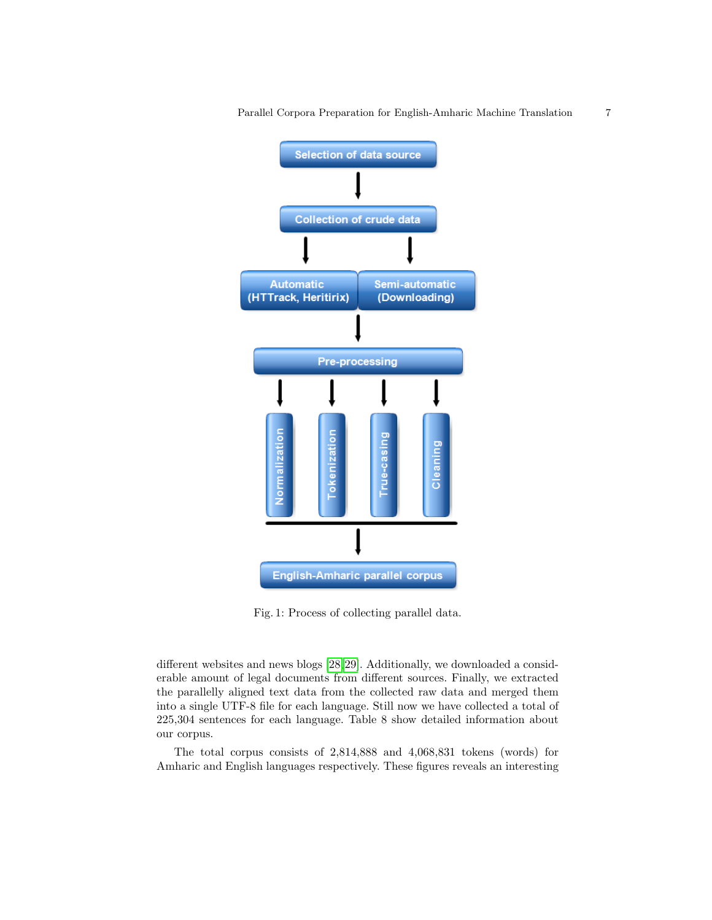

Parallel Corpora Preparation for English-Amharic Machine Translation 7

Fig. 1: Process of collecting parallel data.

different websites and news blogs [28,29]. Additionally, we downloaded a considerable amount of legal documents from different sources. Finally, we extracted the parallelly aligned text data from the collected raw data and merged them into a single UTF-8 file for each language. Still now we have collected a total of 225,304 sentences for each language. Table 8 show detailed information about our corpus.

The total corpus consists of 2,814,888 and 4,068,831 tokens (words) for Amharic and English languages respectively. These figures reveals an interesting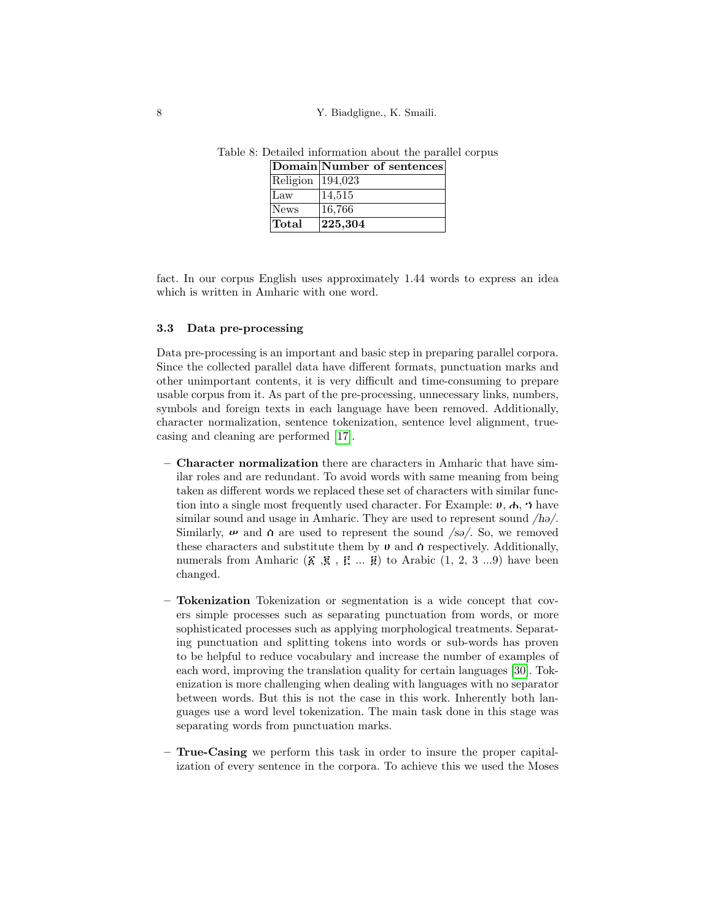8 Y. Biadgligne., K. Smaili.

|                  | Domain Number of sentences |
|------------------|----------------------------|
| Religion 194,023 |                            |
| Law              | 14,515                     |
| News             | 16,766                     |
| Total            | $\vert 225, 304 \vert$     |

Table 8: Detailed information about the parallel corpus

fact. In our corpus English uses approximately 1.44 words to express an idea which is written in Amharic with one word.

### 3.3 Data pre-processing

Data pre-processing is an important and basic step in preparing parallel corpora. Since the collected parallel data have different formats, punctuation marks and other unimportant contents, it is very difficult and time-consuming to prepare usable corpus from it. As part of the pre-processing, unnecessary links, numbers, symbols and foreign texts in each language have been removed. Additionally, character normalization, sentence tokenization, sentence level alignment, truecasing and cleaning are performed [17].

- Character normalization there are characters in Amharic that have similar roles and are redundant. To avoid words with same meaning from being taken as different words we replaced these set of characters with similar function into a single most frequently used character. For Example:  $\boldsymbol{v}$ ,  $\boldsymbol{\phi}$ ,  $\boldsymbol{\gamma}$  have similar sound and usage in Amharic. They are used to represent sound  $/h\omega$ . Similarly,  $\boldsymbol{\nu}$  and  $\boldsymbol{\alpha}$  are used to represent the sound /sə/. So, we removed these characters and substitute them by  $\upsilon$  and  $\alpha$  respectively. Additionally, numerals from Amharic  $(\mathbf{\Sigma}, \mathbf{\overline{g}}, \mathbf{\overline{g}}, \dots, \mathbf{\overline{g}})$  to Arabic  $(1, 2, 3 \dots 9)$  have been changed.
- Tokenization Tokenization or segmentation is a wide concept that covers simple processes such as separating punctuation from words, or more sophisticated processes such as applying morphological treatments. Separating punctuation and splitting tokens into words or sub-words has proven to be helpful to reduce vocabulary and increase the number of examples of each word, improving the translation quality for certain languages [30]. Tokenization is more challenging when dealing with languages with no separator between words. But this is not the case in this work. Inherently both languages use a word level tokenization. The main task done in this stage was separating words from punctuation marks.
- True-Casing we perform this task in order to insure the proper capitalization of every sentence in the corpora. To achieve this we used the Moses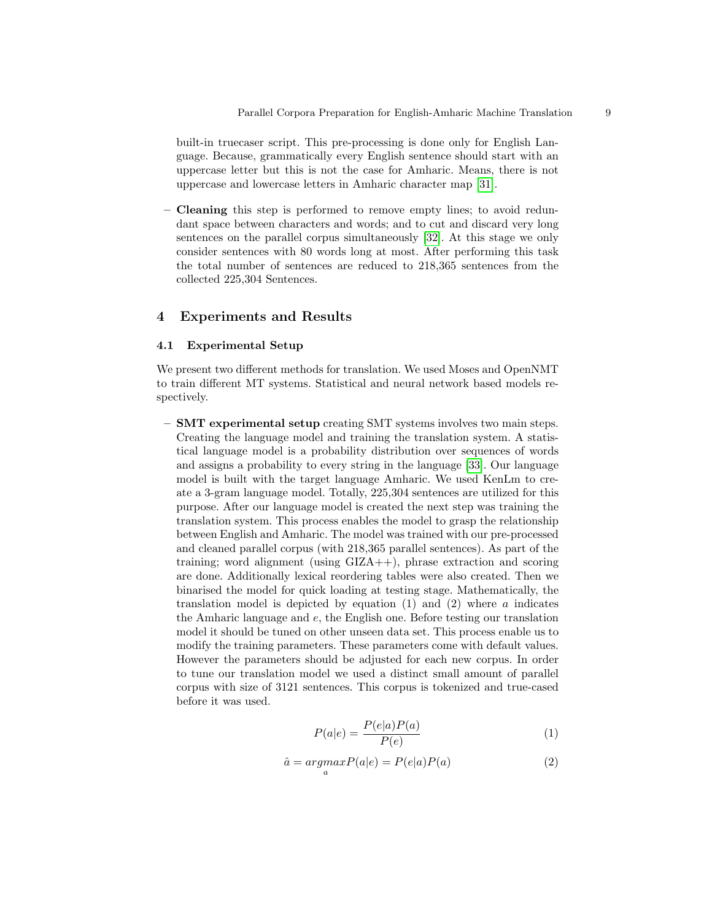built-in truecaser script. This pre-processing is done only for English Language. Because, grammatically every English sentence should start with an uppercase letter but this is not the case for Amharic. Means, there is not uppercase and lowercase letters in Amharic character map [31].

– Cleaning this step is performed to remove empty lines; to avoid redundant space between characters and words; and to cut and discard very long sentences on the parallel corpus simultaneously [32]. At this stage we only consider sentences with 80 words long at most. After performing this task the total number of sentences are reduced to 218,365 sentences from the collected 225,304 Sentences.

## 4 Experiments and Results

#### 4.1 Experimental Setup

We present two different methods for translation. We used Moses and OpenNMT to train different MT systems. Statistical and neural network based models respectively.

 $-$  **SMT** experimental setup creating SMT systems involves two main steps. Creating the language model and training the translation system. A statistical language model is a probability distribution over sequences of words and assigns a probability to every string in the language [33]. Our language model is built with the target language Amharic. We used KenLm to create a 3-gram language model. Totally, 225,304 sentences are utilized for this purpose. After our language model is created the next step was training the translation system. This process enables the model to grasp the relationship between English and Amharic. The model was trained with our pre-processed and cleaned parallel corpus (with 218,365 parallel sentences). As part of the training; word alignment (using GIZA++), phrase extraction and scoring are done. Additionally lexical reordering tables were also created. Then we binarised the model for quick loading at testing stage. Mathematically, the translation model is depicted by equation  $(1)$  and  $(2)$  where a indicates the Amharic language and e, the English one. Before testing our translation model it should be tuned on other unseen data set. This process enable us to modify the training parameters. These parameters come with default values. However the parameters should be adjusted for each new corpus. In order to tune our translation model we used a distinct small amount of parallel corpus with size of 3121 sentences. This corpus is tokenized and true-cased before it was used.

$$
P(a|e) = \frac{P(e|a)P(a)}{P(e)}\tag{1}
$$

$$
\hat{a} = \underset{a}{\operatorname{argmax}} P(a|e) = P(e|a)P(a) \tag{2}
$$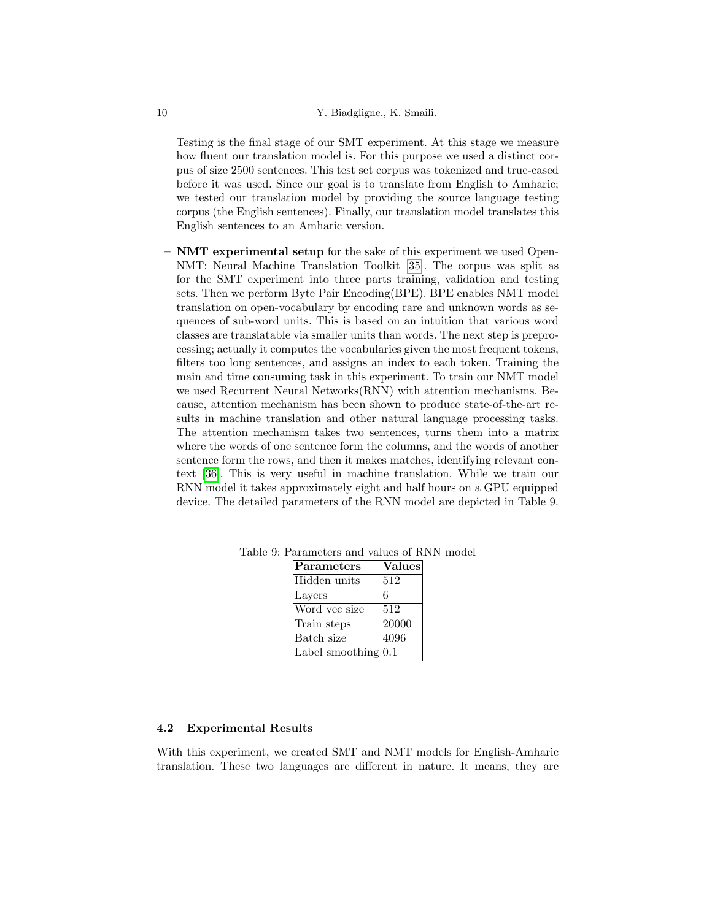Testing is the final stage of our SMT experiment. At this stage we measure how fluent our translation model is. For this purpose we used a distinct corpus of size 2500 sentences. This test set corpus was tokenized and true-cased before it was used. Since our goal is to translate from English to Amharic; we tested our translation model by providing the source language testing corpus (the English sentences). Finally, our translation model translates this English sentences to an Amharic version.

– NMT experimental setup for the sake of this experiment we used Open-NMT: Neural Machine Translation Toolkit [35]. The corpus was split as for the SMT experiment into three parts training, validation and testing sets. Then we perform Byte Pair Encoding(BPE). BPE enables NMT model translation on open-vocabulary by encoding rare and unknown words as sequences of sub-word units. This is based on an intuition that various word classes are translatable via smaller units than words. The next step is preprocessing; actually it computes the vocabularies given the most frequent tokens, filters too long sentences, and assigns an index to each token. Training the main and time consuming task in this experiment. To train our NMT model we used Recurrent Neural Networks(RNN) with attention mechanisms. Because, attention mechanism has been shown to produce state-of-the-art results in machine translation and other natural language processing tasks. The attention mechanism takes two sentences, turns them into a matrix where the words of one sentence form the columns, and the words of another sentence form the rows, and then it makes matches, identifying relevant context [36]. This is very useful in machine translation. While we train our RNN model it takes approximately eight and half hours on a GPU equipped device. The detailed parameters of the RNN model are depicted in Table 9.

| Parameters              | <b>Values</b> |
|-------------------------|---------------|
| Hidden units            | 512           |
| Layers                  | 6             |
| Word vec size           | 512           |
| Train steps             | 20000         |
| Batch size              | 4096          |
| Label smoothing $[0.1]$ |               |

Table 9: Parameters and values of RNN model

### 4.2 Experimental Results

With this experiment, we created SMT and NMT models for English-Amharic translation. These two languages are different in nature. It means, they are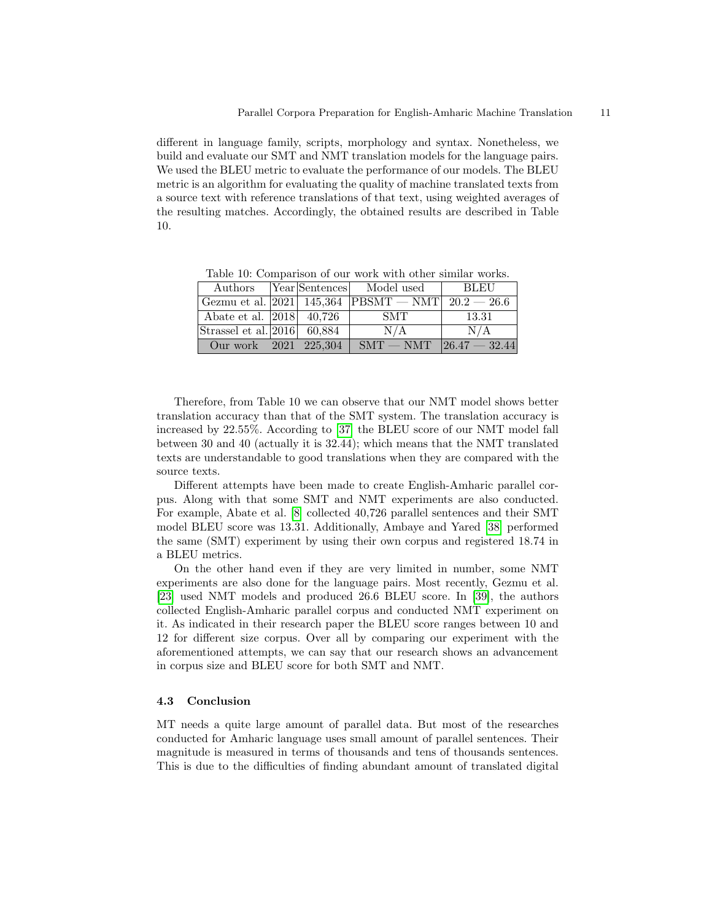different in language family, scripts, morphology and syntax. Nonetheless, we build and evaluate our SMT and NMT translation models for the language pairs. We used the BLEU metric to evaluate the performance of our models. The BLEU metric is an algorithm for evaluating the quality of machine translated texts from a source text with reference translations of that text, using weighted averages of the resulting matches. Accordingly, the obtained results are described in Table 10.

Authors Year Sentences Model used BLEU Gezmu et al.  $|2021|$  145,364 PBSMT — NMT  $|20.2 - 26.6|$ Abate et al. |2018| 40,726 | SMT | 13.31 Strassel et al.  $|2016|$  60,884  $|$  N/A N/A Our work  $|2021|$   $225,304$  | SMT — NMT  $|26.47 - 32.44$ 

Table 10: Comparison of our work with other similar works.

Therefore, from Table 10 we can observe that our NMT model shows better translation accuracy than that of the SMT system. The translation accuracy is increased by 22.55%. According to [37] the BLEU score of our NMT model fall between 30 and 40 (actually it is 32.44); which means that the NMT translated texts are understandable to good translations when they are compared with the source texts.

Different attempts have been made to create English-Amharic parallel corpus. Along with that some SMT and NMT experiments are also conducted. For example, Abate et al. [8] collected 40,726 parallel sentences and their SMT model BLEU score was 13.31. Additionally, Ambaye and Yared [38] performed the same (SMT) experiment by using their own corpus and registered 18.74 in a BLEU metrics.

On the other hand even if they are very limited in number, some NMT experiments are also done for the language pairs. Most recently, Gezmu et al. [23] used NMT models and produced 26.6 BLEU score. In [39], the authors collected English-Amharic parallel corpus and conducted NMT experiment on it. As indicated in their research paper the BLEU score ranges between 10 and 12 for different size corpus. Over all by comparing our experiment with the aforementioned attempts, we can say that our research shows an advancement in corpus size and BLEU score for both SMT and NMT.

### 4.3 Conclusion

MT needs a quite large amount of parallel data. But most of the researches conducted for Amharic language uses small amount of parallel sentences. Their magnitude is measured in terms of thousands and tens of thousands sentences. This is due to the difficulties of finding abundant amount of translated digital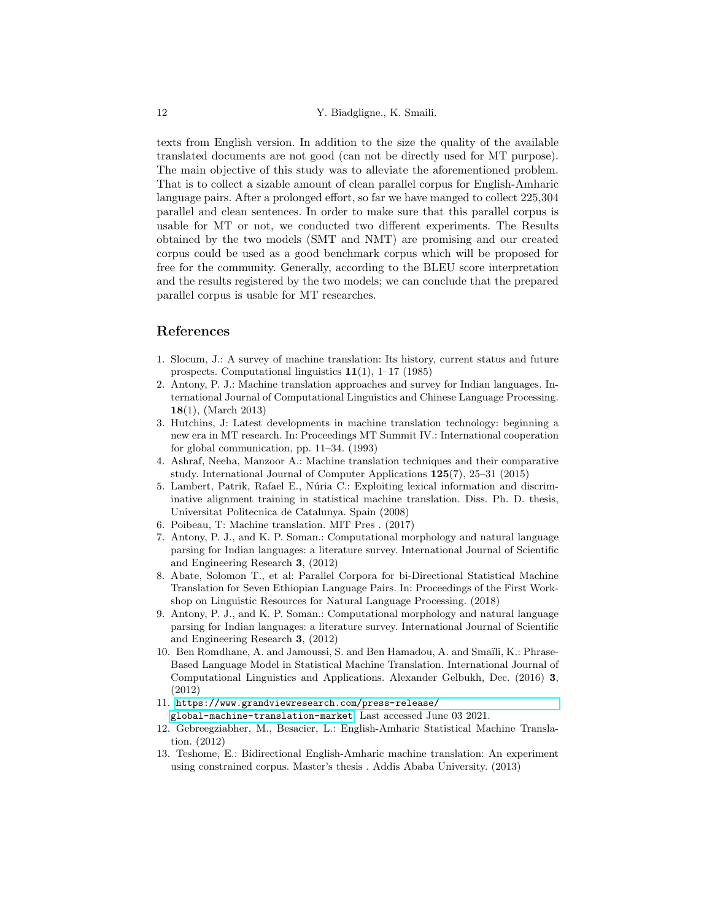texts from English version. In addition to the size the quality of the available translated documents are not good (can not be directly used for MT purpose). The main objective of this study was to alleviate the aforementioned problem. That is to collect a sizable amount of clean parallel corpus for English-Amharic language pairs. After a prolonged effort, so far we have manged to collect 225,304 parallel and clean sentences. In order to make sure that this parallel corpus is usable for MT or not, we conducted two different experiments. The Results obtained by the two models (SMT and NMT) are promising and our created corpus could be used as a good benchmark corpus which will be proposed for free for the community. Generally, according to the BLEU score interpretation and the results registered by the two models; we can conclude that the prepared parallel corpus is usable for MT researches.

## References

- 1. Slocum, J.: A survey of machine translation: Its history, current status and future prospects. Computational linguistics 11(1), 1–17 (1985)
- 2. Antony, P. J.: Machine translation approaches and survey for Indian languages. International Journal of Computational Linguistics and Chinese Language Processing. 18(1), (March 2013)
- 3. Hutchins, J: Latest developments in machine translation technology: beginning a new era in MT research. In: Proceedings MT Summit IV.: International cooperation for global communication, pp. 11–34. (1993)
- 4. Ashraf, Neeha, Manzoor A.: Machine translation techniques and their comparative study. International Journal of Computer Applications 125(7), 25–31 (2015)
- 5. Lambert, Patrik, Rafael E., Núria C.: Exploiting lexical information and discriminative alignment training in statistical machine translation. Diss. Ph. D. thesis, Universitat Politecnica de Catalunya. Spain (2008)
- 6. Poibeau, T: Machine translation. MIT Pres . (2017)
- 7. Antony, P. J., and K. P. Soman.: Computational morphology and natural language parsing for Indian languages: a literature survey. International Journal of Scientific and Engineering Research 3, (2012)
- 8. Abate, Solomon T., et al: Parallel Corpora for bi-Directional Statistical Machine Translation for Seven Ethiopian Language Pairs. In: Proceedings of the First Workshop on Linguistic Resources for Natural Language Processing. (2018)
- 9. Antony, P. J., and K. P. Soman.: Computational morphology and natural language parsing for Indian languages: a literature survey. International Journal of Scientific and Engineering Research 3, (2012)
- 10. Ben Romdhane, A. and Jamoussi, S. and Ben Hamadou, A. and Smaili, K.: Phrase-Based Language Model in Statistical Machine Translation. International Journal of Computational Linguistics and Applications. Alexander Gelbukh, Dec. (2016) 3, (2012)
- 11. [https://www.grandviewresearch.com/press-release/](https://www.grandviewresearch.com/press-release/global-machine-translation-market) [global-machine-translation-market](https://www.grandviewresearch.com/press-release/global-machine-translation-market). Last accessed June 03 2021.
- 12. Gebreegziabher, M., Besacier, L.: English-Amharic Statistical Machine Translation. (2012)
- 13. Teshome, E.: Bidirectional English-Amharic machine translation: An experiment using constrained corpus. Master's thesis . Addis Ababa University. (2013)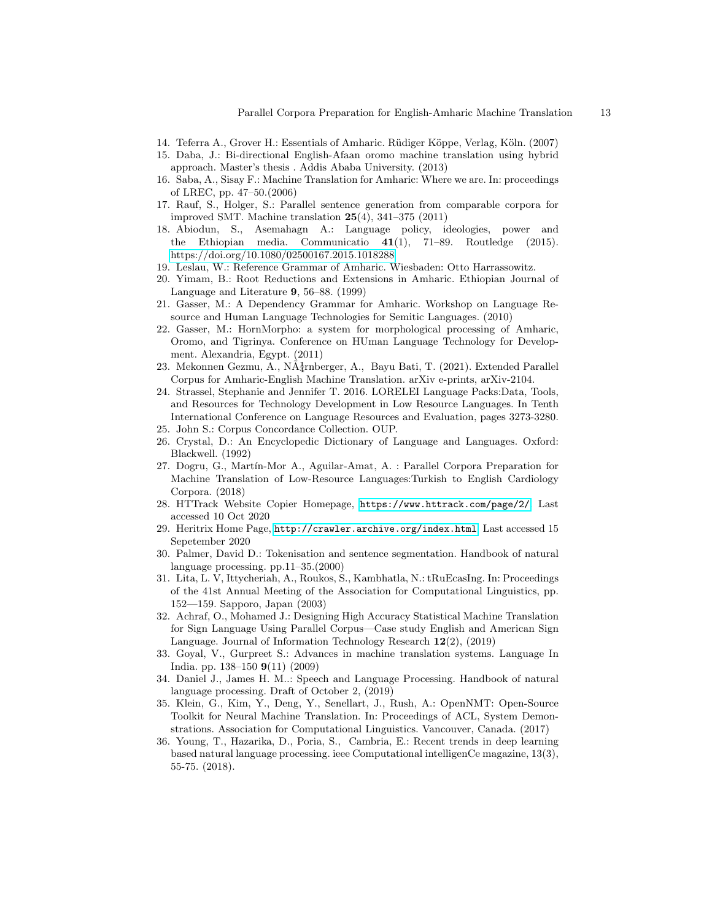- 14. Teferra A., Grover H.: Essentials of Amharic. Rüdiger Köppe, Verlag, Köln. (2007)
- 15. Daba, J.: Bi-directional English-Afaan oromo machine translation using hybrid approach. Master's thesis . Addis Ababa University. (2013)
- 16. Saba, A., Sisay F.: Machine Translation for Amharic: Where we are. In: proceedings of LREC, pp. 47–50.(2006)
- 17. Rauf, S., Holger, S.: Parallel sentence generation from comparable corpora for improved SMT. Machine translation  $25(4)$ , 341–375 (2011)
- 18. Abiodun, S., Asemahagn A.: Language policy, ideologies, power and the Ethiopian media. Communicatio  $41(1)$ , 71–89. Routledge (2015). <https://doi.org/10.1080/02500167.2015.1018288>
- 19. Leslau, W.: Reference Grammar of Amharic. Wiesbaden: Otto Harrassowitz.
- 20. Yimam, B.: Root Reductions and Extensions in Amharic. Ethiopian Journal of Language and Literature 9, 56–88. (1999)
- 21. Gasser, M.: A Dependency Grammar for Amharic. Workshop on Language Resource and Human Language Technologies for Semitic Languages. (2010)
- 22. Gasser, M.: HornMorpho: a system for morphological processing of Amharic, Oromo, and Tigrinya. Conference on HUman Language Technology for Development. Alexandria, Egypt. (2011)
- 23. Mekonnen Gezmu, A.,  $NA_{\text{Trbberger}}^1$ , A., Bayu Bati, T. (2021). Extended Parallel Corpus for Amharic-English Machine Translation. arXiv e-prints, arXiv-2104.
- 24. Strassel, Stephanie and Jennifer T. 2016. LORELEI Language Packs:Data, Tools, and Resources for Technology Development in Low Resource Languages. In Tenth International Conference on Language Resources and Evaluation, pages 3273-3280.
- 25. John S.: Corpus Concordance Collection. OUP.
- 26. Crystal, D.: An Encyclopedic Dictionary of Language and Languages. Oxford: Blackwell. (1992)
- 27. Dogru, G., Martín-Mor A., Aguilar-Amat, A. : Parallel Corpora Preparation for Machine Translation of Low-Resource Languages:Turkish to English Cardiology Corpora. (2018)
- 28. HTTrack Website Copier Homepage, <https://www.httrack.com/page/2/>. Last accessed 10 Oct 2020
- 29. Heritrix Home Page, <http://crawler.archive.org/index.html>. Last accessed 15 Sepetember 2020
- 30. Palmer, David D.: Tokenisation and sentence segmentation. Handbook of natural language processing. pp.11–35.(2000)
- 31. Lita, L. V, Ittycheriah, A., Roukos, S., Kambhatla, N.: tRuEcasIng. In: Proceedings of the 41st Annual Meeting of the Association for Computational Linguistics, pp. 152—159. Sapporo, Japan (2003)
- 32. Achraf, O., Mohamed J.: Designing High Accuracy Statistical Machine Translation for Sign Language Using Parallel Corpus—Case study English and American Sign Language. Journal of Information Technology Research  $12(2)$ ,  $(2019)$
- 33. Goyal, V., Gurpreet S.: Advances in machine translation systems. Language In India. pp. 138–150 9(11) (2009)
- 34. Daniel J., James H. M..: Speech and Language Processing. Handbook of natural language processing. Draft of October 2, (2019)
- 35. Klein, G., Kim, Y., Deng, Y., Senellart, J., Rush, A.: OpenNMT: Open-Source Toolkit for Neural Machine Translation. In: Proceedings of ACL, System Demonstrations. Association for Computational Linguistics. Vancouver, Canada. (2017)
- 36. Young, T., Hazarika, D., Poria, S., Cambria, E.: Recent trends in deep learning based natural language processing. ieee Computational intelligenCe magazine, 13(3), 55-75. (2018).